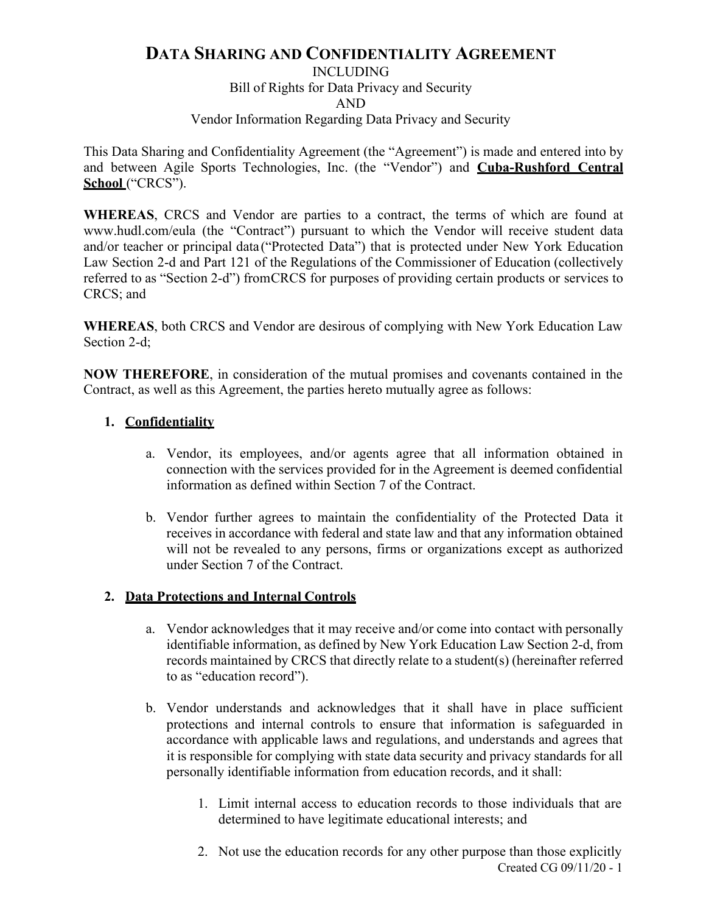# **DATA SHARING AND CONFIDENTIALITY AGREEMENT**

INCLUDING

Bill of Rights for Data Privacy and Security AND

## Vendor Information Regarding Data Privacy and Security

This Data Sharing and Confidentiality Agreement (the "Agreement") is made and entered into by and between Agile Sports Technologies, Inc. (the "Vendor") and **Cuba-Rushford Central School** ("CRCS").

**WHEREAS**, CRCS and Vendor are parties to a contract, the terms of which are found at www.hudl.com/eula (the "Contract") pursuant to which the Vendor will receive student data and/or teacher or principal data("Protected Data") that is protected under New York Education Law Section 2-d and Part 121 of the Regulations of the Commissioner of Education (collectively referred to as "Section 2-d") fromCRCS for purposes of providing certain products or services to CRCS; and

**WHEREAS**, both CRCS and Vendor are desirous of complying with New York Education Law Section 2-d;

**NOW THEREFORE**, in consideration of the mutual promises and covenants contained in the Contract, as well as this Agreement, the parties hereto mutually agree as follows:

# **1. Confidentiality**

- a. Vendor, its employees, and/or agents agree that all information obtained in connection with the services provided for in the Agreement is deemed confidential information as defined within Section 7 of the Contract.
- b. Vendor further agrees to maintain the confidentiality of the Protected Data it receives in accordance with federal and state law and that any information obtained will not be revealed to any persons, firms or organizations except as authorized under Section 7 of the Contract.

# **2. Data Protections and Internal Controls**

- a. Vendor acknowledges that it may receive and/or come into contact with personally identifiable information, as defined by New York Education Law Section 2-d, from records maintained by CRCS that directly relate to a student(s) (hereinafter referred to as "education record").
- b. Vendor understands and acknowledges that it shall have in place sufficient protections and internal controls to ensure that information is safeguarded in accordance with applicable laws and regulations, and understands and agrees that it is responsible for complying with state data security and privacy standards for all personally identifiable information from education records, and it shall:
	- 1. Limit internal access to education records to those individuals that are determined to have legitimate educational interests; and
	- Created CG 09/11/20 1 2. Not use the education records for any other purpose than those explicitly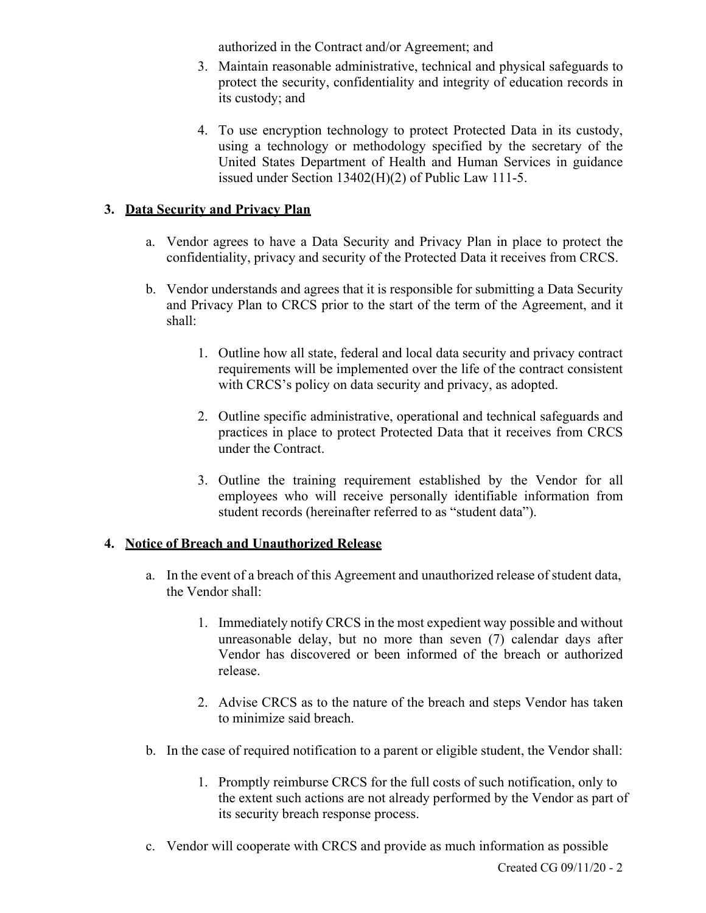authorized in the Contract and/or Agreement; and

- 3. Maintain reasonable administrative, technical and physical safeguards to protect the security, confidentiality and integrity of education records in its custody; and
- 4. To use encryption technology to protect Protected Data in its custody, using a technology or methodology specified by the secretary of the United States Department of Health and Human Services in guidance issued under Section 13402(H)(2) of Public Law 111-5.

## **3. Data Security and Privacy Plan**

- a. Vendor agrees to have a Data Security and Privacy Plan in place to protect the confidentiality, privacy and security of the Protected Data it receives from CRCS.
- b. Vendor understands and agrees that it is responsible for submitting a Data Security and Privacy Plan to CRCS prior to the start of the term of the Agreement, and it shall:
	- 1. Outline how all state, federal and local data security and privacy contract requirements will be implemented over the life of the contract consistent with CRCS's policy on data security and privacy, as adopted.
	- 2. Outline specific administrative, operational and technical safeguards and practices in place to protect Protected Data that it receives from CRCS under the Contract.
	- 3. Outline the training requirement established by the Vendor for all employees who will receive personally identifiable information from student records (hereinafter referred to as "student data").

## **4. Notice of Breach and Unauthorized Release**

- a. In the event of a breach of this Agreement and unauthorized release of student data, the Vendor shall:
	- 1. Immediately notify CRCS in the most expedient way possible and without unreasonable delay, but no more than seven (7) calendar days after Vendor has discovered or been informed of the breach or authorized release.
	- 2. Advise CRCS as to the nature of the breach and steps Vendor has taken to minimize said breach.
- b. In the case of required notification to a parent or eligible student, the Vendor shall:
	- 1. Promptly reimburse CRCS for the full costs of such notification, only to the extent such actions are not already performed by the Vendor as part of its security breach response process.
- c. Vendor will cooperate with CRCS and provide as much information as possible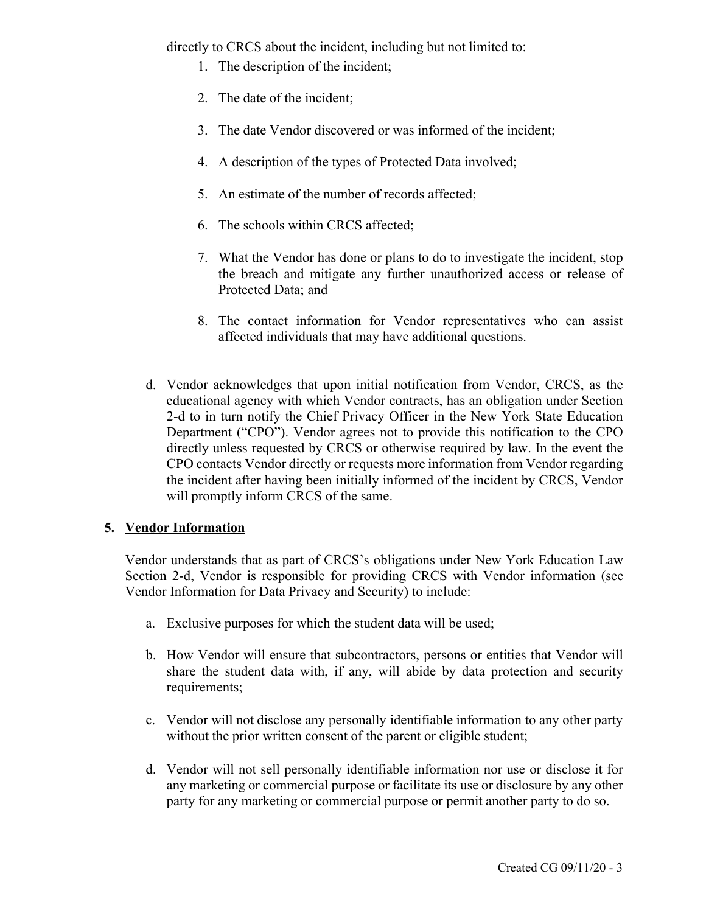directly to CRCS about the incident, including but not limited to:

- 1. The description of the incident;
- 2. The date of the incident;
- 3. The date Vendor discovered or was informed of the incident;
- 4. A description of the types of Protected Data involved;
- 5. An estimate of the number of records affected;
- 6. The schools within CRCS affected;
- 7. What the Vendor has done or plans to do to investigate the incident, stop the breach and mitigate any further unauthorized access or release of Protected Data; and
- 8. The contact information for Vendor representatives who can assist affected individuals that may have additional questions.
- d. Vendor acknowledges that upon initial notification from Vendor, CRCS, as the educational agency with which Vendor contracts, has an obligation under Section 2-d to in turn notify the Chief Privacy Officer in the New York State Education Department ("CPO"). Vendor agrees not to provide this notification to the CPO directly unless requested by CRCS or otherwise required by law. In the event the CPO contacts Vendor directly or requests more information from Vendor regarding the incident after having been initially informed of the incident by CRCS, Vendor will promptly inform CRCS of the same.

# **5. Vendor Information**

Vendor understands that as part of CRCS's obligations under New York Education Law Section 2-d, Vendor is responsible for providing CRCS with Vendor information (see Vendor Information for Data Privacy and Security) to include:

- a. Exclusive purposes for which the student data will be used;
- b. How Vendor will ensure that subcontractors, persons or entities that Vendor will share the student data with, if any, will abide by data protection and security requirements;
- c. Vendor will not disclose any personally identifiable information to any other party without the prior written consent of the parent or eligible student;
- d. Vendor will not sell personally identifiable information nor use or disclose it for any marketing or commercial purpose or facilitate its use or disclosure by any other party for any marketing or commercial purpose or permit another party to do so.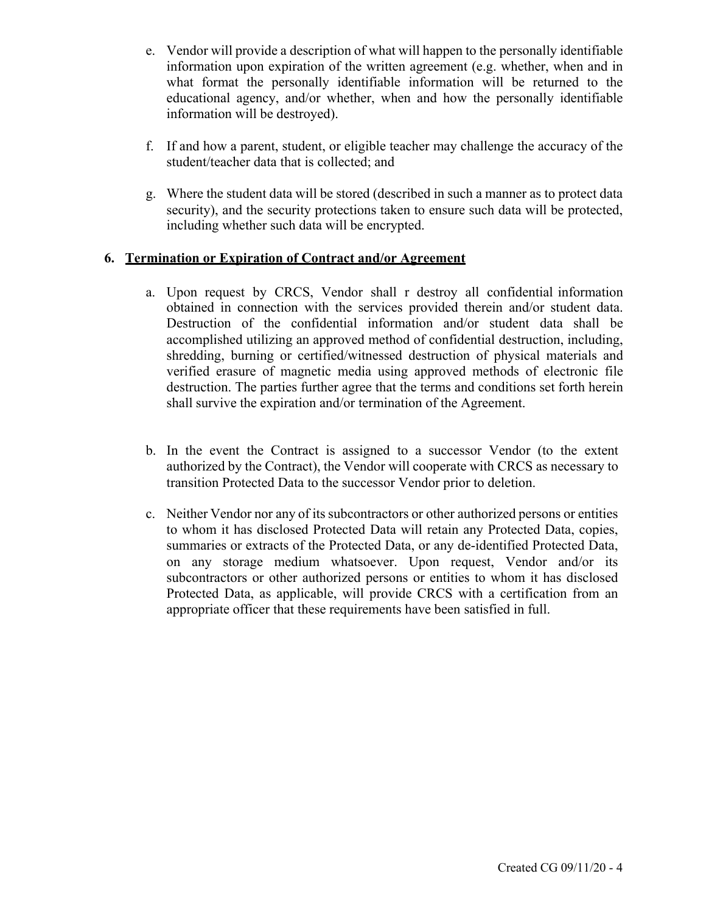- e. Vendor will provide a description of what will happen to the personally identifiable information upon expiration of the written agreement (e.g. whether, when and in what format the personally identifiable information will be returned to the educational agency, and/or whether, when and how the personally identifiable information will be destroyed).
- f. If and how a parent, student, or eligible teacher may challenge the accuracy of the student/teacher data that is collected; and
- g. Where the student data will be stored (described in such a manner as to protect data security), and the security protections taken to ensure such data will be protected, including whether such data will be encrypted.

## **6. Termination or Expiration of Contract and/or Agreement**

- a. Upon request by CRCS, Vendor shall r destroy all confidential information obtained in connection with the services provided therein and/or student data. Destruction of the confidential information and/or student data shall be accomplished utilizing an approved method of confidential destruction, including, shredding, burning or certified/witnessed destruction of physical materials and verified erasure of magnetic media using approved methods of electronic file destruction. The parties further agree that the terms and conditions set forth herein shall survive the expiration and/or termination of the Agreement.
- b. In the event the Contract is assigned to a successor Vendor (to the extent authorized by the Contract), the Vendor will cooperate with CRCS as necessary to transition Protected Data to the successor Vendor prior to deletion.
- c. Neither Vendor nor any of its subcontractors or other authorized persons or entities to whom it has disclosed Protected Data will retain any Protected Data, copies, summaries or extracts of the Protected Data, or any de-identified Protected Data, on any storage medium whatsoever. Upon request, Vendor and/or its subcontractors or other authorized persons or entities to whom it has disclosed Protected Data, as applicable, will provide CRCS with a certification from an appropriate officer that these requirements have been satisfied in full.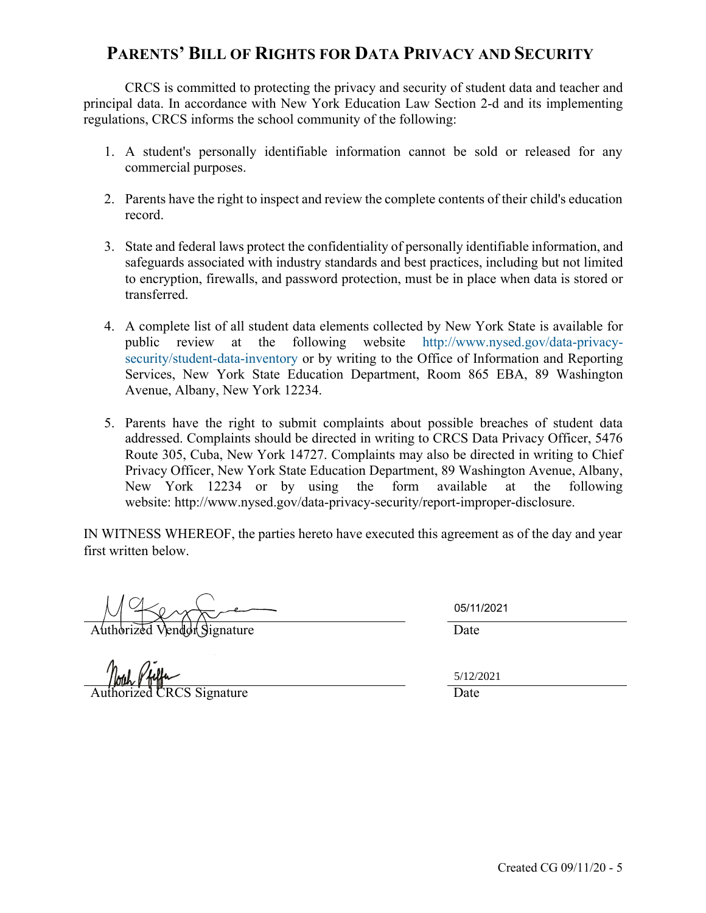# **PARENTS' BILL OF RIGHTS FOR DATA PRIVACY AND SECURITY**

CRCS is committed to protecting the privacy and security of student data and teacher and principal data. In accordance with New York Education Law Section 2-d and its implementing regulations, CRCS informs the school community of the following:

- 1. A student's personally identifiable information cannot be sold or released for any commercial purposes.
- 2. Parents have the right to inspect and review the complete contents of their child's education record.
- 3. State and federal laws protect the confidentiality of personally identifiable information, and safeguards associated with industry standards and best practices, including but not limited to encryption, firewalls, and password protection, must be in place when data is stored or transferred.
- 4. A complete list of all student data elements collected by New York State is available for public review at the following website http://www.nysed.gov/data-privacysecurity/student-data-inventory or by writing to the Office of Information and Reporting Services, New York State Education Department, Room 865 EBA, 89 Washington Avenue, Albany, New York 12234.
- 5. Parents have the right to submit complaints about possible breaches of student data addressed. Complaints should be directed in writing to CRCS Data Privacy Officer, 5476 Route 305, Cuba, New York 14727. Complaints may also be directed in writing to Chief Privacy Officer, New York State Education Department, 89 Washington Avenue, Albany, New York 12234 or by using the form available at the following website: http://www.nysed.gov/data-privacy-security/report-improper-disclosure.

IN WITNESS WHEREOF, the parties hereto have executed this agreement as of the day and year first written below.

Authorized Vendor Signature Date

Authorized CRCS Signature Date

05/11/2021

5/12/2021